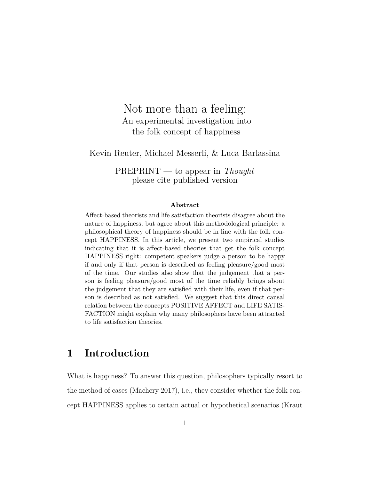# <span id="page-0-0"></span>Not more than a feeling: An experimental investigation into the folk concept of happiness

Kevin Reuter, Michael Messerli, & Luca Barlassina

PREPRINT — to appear in *Thought* please cite published version

#### **Abstract**

Affect-based theorists and life satisfaction theorists disagree about the nature of happiness, but agree about this methodological principle: a philosophical theory of happiness should be in line with the folk concept HAPPINESS. In this article, we present two empirical studies indicating that it is affect-based theories that get the folk concept HAPPINESS right: competent speakers judge a person to be happy if and only if that person is described as feeling pleasure/good most of the time. Our studies also show that the judgement that a person is feeling pleasure/good most of the time reliably brings about the judgement that they are satisfied with their life, even if that person is described as not satisfied. We suggest that this direct causal relation between the concepts POSITIVE AFFECT and LIFE SATIS-FACTION might explain why many philosophers have been attracted to life satisfaction theories.

# **1 Introduction**

What is happiness? To answer this question, philosophers typically resort to the method of cases (Machery 2017), i.e., they consider whether the folk concept HAPPINESS applies to certain actual or hypothetical scenarios (Kraut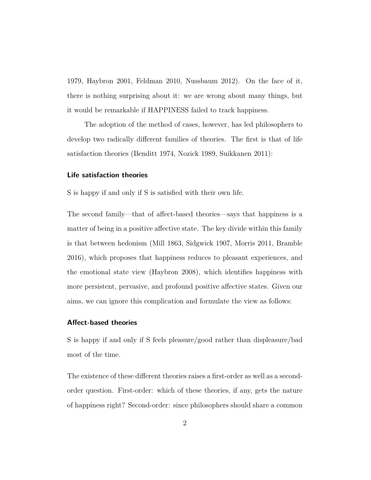1979, Haybron 2001, Feldman 2010, Nussbaum 2012). On the face of it, there is nothing surprising about it: we are wrong about many things, but it would be remarkable if HAPPINESS failed to track happiness.

The adoption of the method of cases, however, has led philosophers to develop two radically different families of theories. The first is that of life satisfaction theories (Benditt 1974, Nozick 1989, Suikkanen 2011):

#### **Life satisfaction theories**

S is happy if and only if S is satisfied with their own life.

The second family—that of affect-based theories—says that happiness is a matter of being in a positive affective state. The key divide within this family is that between hedonism (Mill 1863, Sidgwick 1907, Morris 2011, Bramble 2016), which proposes that happiness reduces to pleasant experiences, and the emotional state view (Haybron 2008), which identifies happiness with more persistent, pervasive, and profound positive affective states. Given our aims, we can ignore this complication and formulate the view as follows:

#### **Affect-based theories**

S is happy if and only if S feels pleasure/good rather than displeasure/bad most of the time.

The existence of these different theories raises a first-order as well as a secondorder question. First-order: which of these theories, if any, gets the nature of happiness right? Second-order: since philosophers should share a common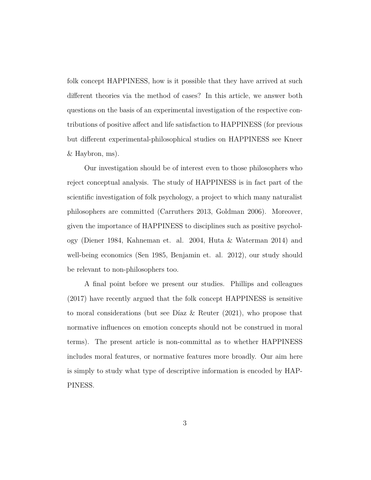folk concept HAPPINESS, how is it possible that they have arrived at such different theories via the method of cases? In this article, we answer both questions on the basis of an experimental investigation of the respective contributions of positive affect and life satisfaction to HAPPINESS (for previous but different experimental-philosophical studies on HAPPINESS see Kneer & Haybron, ms).

Our investigation should be of interest even to those philosophers who reject conceptual analysis. The study of HAPPINESS is in fact part of the scientific investigation of folk psychology, a project to which many naturalist philosophers are committed (Carruthers 2013, Goldman 2006). Moreover, given the importance of HAPPINESS to disciplines such as positive psychology (Diener 1984, Kahneman et. al. 2004, Huta & Waterman 2014) and well-being economics (Sen 1985, Benjamin et. al. 2012), our study should be relevant to non-philosophers too.

A final point before we present our studies. Phillips and colleagues (2017) have recently argued that the folk concept HAPPINESS is sensitive to moral considerations (but see Díaz & Reuter (2021), who propose that normative influences on emotion concepts should not be construed in moral terms). The present article is non-committal as to whether HAPPINESS includes moral features, or normative features more broadly. Our aim here is simply to study what type of descriptive information is encoded by HAP-PINESS.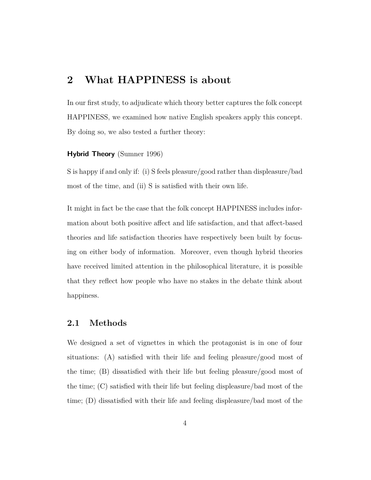# **2 What HAPPINESS is about**

In our first study, to adjudicate which theory better captures the folk concept HAPPINESS, we examined how native English speakers apply this concept. By doing so, we also tested a further theory:

#### **Hybrid Theory** (Sumner 1996)

S is happy if and only if: (i) S feels pleasure/good rather than displeasure/bad most of the time, and (ii) S is satisfied with their own life.

It might in fact be the case that the folk concept HAPPINESS includes information about both positive affect and life satisfaction, and that affect-based theories and life satisfaction theories have respectively been built by focusing on either body of information. Moreover, even though hybrid theories have received limited attention in the philosophical literature, it is possible that they reflect how people who have no stakes in the debate think about happiness.

## **2.1 Methods**

We designed a set of vignettes in which the protagonist is in one of four situations: (A) satisfied with their life and feeling pleasure/good most of the time; (B) dissatisfied with their life but feeling pleasure/good most of the time; (C) satisfied with their life but feeling displeasure/bad most of the time; (D) dissatisfied with their life and feeling displeasure/bad most of the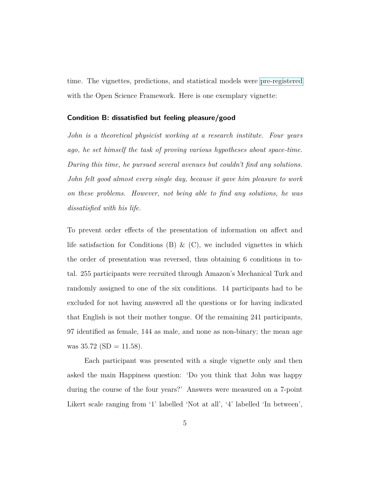time. The vignettes, predictions, and statistical models were [pre-registered](https://osf.io/jypcr/?view_only=d8c8d43808ef46bb986edc6a705c5a69) with the Open Science Framework. Here is one exemplary vignette:

#### **Condition B: dissatisfied but feeling pleasure/good**

*John is a theoretical physicist working at a research institute. Four years ago, he set himself the task of proving various hypotheses about space-time. During this time, he pursued several avenues but couldn't find any solutions. John felt good almost every single day, because it gave him pleasure to work on these problems. However, not being able to find any solutions, he was dissatisfied with his life.*

To prevent order effects of the presentation of information on affect and life satisfaction for Conditions (B)  $\&$  (C), we included vignettes in which the order of presentation was reversed, thus obtaining 6 conditions in total. 255 participants were recruited through Amazon's Mechanical Turk and randomly assigned to one of the six conditions. 14 participants had to be excluded for not having answered all the questions or for having indicated that English is not their mother tongue. Of the remaining 241 participants, 97 identified as female, 144 as male, and none as non-binary; the mean age was  $35.72$  (SD = 11.58).

Each participant was presented with a single vignette only and then asked the main Happiness question: 'Do you think that John was happy during the course of the four years?' Answers were measured on a 7-point Likert scale ranging from '1' labelled 'Not at all', '4' labelled 'In between',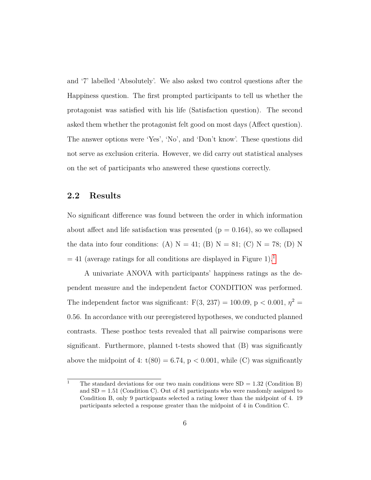and '7' labelled 'Absolutely'. We also asked two control questions after the Happiness question. The first prompted participants to tell us whether the protagonist was satisfied with his life (Satisfaction question). The second asked them whether the protagonist felt good on most days (Affect question). The answer options were 'Yes', 'No', and 'Don't know'. These questions did not serve as exclusion criteria. However, we did carry out statistical analyses on the set of participants who answered these questions correctly.

### **2.2 Results**

No significant difference was found between the order in which information about affect and life satisfaction was presented  $(p = 0.164)$ , so we collapsed the data into four conditions: (A)  $N = 41$ ; (B)  $N = 81$ ; (C)  $N = 78$ ; (D) N  $= 41$  $= 41$  (average ratings for all conditions are displayed in Figure 1).<sup>1</sup>

A univariate ANOVA with participants' happiness ratings as the dependent measure and the independent factor CONDITION was performed. The independent factor was significant:  $F(3, 237) = 100.09$ ,  $p < 0.001$ ,  $\eta^2 =$ 0.56. In accordance with our preregistered hypotheses, we conducted planned contrasts. These posthoc tests revealed that all pairwise comparisons were significant. Furthermore, planned t-tests showed that (B) was significantly above the midpoint of 4:  $t(80) = 6.74$ ,  $p < 0.001$ , while (C) was significantly

<sup>&</sup>lt;sup>1</sup> The standard deviations for our two main conditions were  $SD = 1.32$  (Condition B) and  $SD = 1.51$  (Condition C). Out of 81 participants who were randomly assigned to Condition B, only 9 participants selected a rating lower than the midpoint of 4. 19 participants selected a response greater than the midpoint of 4 in Condition C.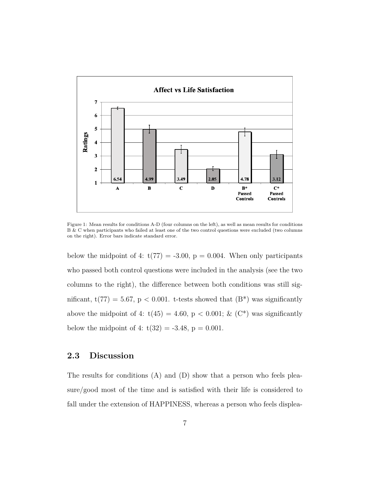

Figure 1: Mean results for conditions A-D (four columns on the left), as well as mean results for conditions B & C when participants who failed at least one of the two control questions were excluded (two columns on the right). Error bars indicate standard error.

below the midpoint of 4:  $t(77) = -3.00$ ,  $p = 0.004$ . When only participants who passed both control questions were included in the analysis (see the two columns to the right), the difference between both conditions was still significant, t(77) = 5.67, p < 0.001. t-tests showed that (B\*) was significantly above the midpoint of 4:  $t(45) = 4.60$ ,  $p < 0.001$ ; & (C<sup>\*</sup>) was significantly below the midpoint of 4:  $t(32) = -3.48$ ,  $p = 0.001$ .

## **2.3 Discussion**

The results for conditions (A) and (D) show that a person who feels pleasure/good most of the time and is satisfied with their life is considered to fall under the extension of HAPPINESS, whereas a person who feels displea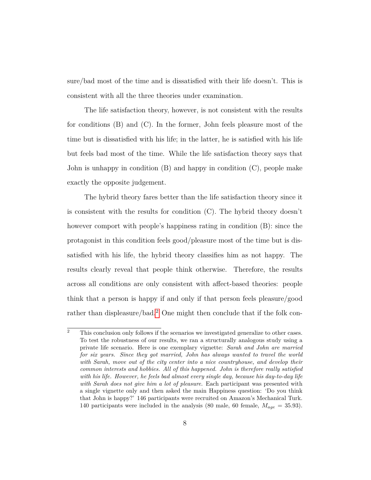sure/bad most of the time and is dissatisfied with their life doesn't. This is consistent with all the three theories under examination.

The life satisfaction theory, however, is not consistent with the results for conditions (B) and (C). In the former, John feels pleasure most of the time but is dissatisfied with his life; in the latter, he is satisfied with his life but feels bad most of the time. While the life satisfaction theory says that John is unhappy in condition (B) and happy in condition (C), people make exactly the opposite judgement.

The hybrid theory fares better than the life satisfaction theory since it is consistent with the results for condition  $(C)$ . The hybrid theory doesn't however comport with people's happiness rating in condition  $(B)$ : since the protagonist in this condition feels good/pleasure most of the time but is dissatisfied with his life, the hybrid theory classifies him as not happy. The results clearly reveal that people think otherwise. Therefore, the results across all conditions are only consistent with affect-based theories: people think that a person is happy if and only if that person feels pleasure/good rather than displeasure/bad.[2](#page-0-0) One might then conclude that if the folk con-

 $\overline{2}$  This conclusion only follows if the scenarios we investigated generalize to other cases. To test the robustness of our results, we ran a structurally analogous study using a private life scenario. Here is one exemplary vignette: *Sarah and John are married for six years. Since they got married, John has always wanted to travel the world with Sarah, move out of the city center into a nice countryhouse, and develop their common interests and hobbies. All of this happened. John is therefore really satisfied with his life. However, he feels bad almost every single day, because his day-to-day life with Sarah does not give him a lot of pleasure.* Each participant was presented with a single vignette only and then asked the main Happiness question: 'Do you think that John is happy?' 146 participants were recruited on Amazon's Mechanical Turk. 140 participants were included in the analysis (80 male, 60 female,  $M_{age} = 35.93$ ).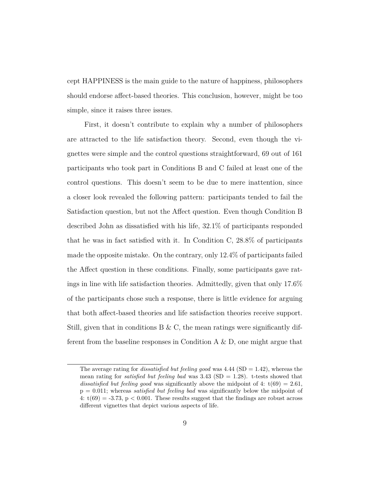cept HAPPINESS is the main guide to the nature of happiness, philosophers should endorse affect-based theories. This conclusion, however, might be too simple, since it raises three issues.

First, it doesn't contribute to explain why a number of philosophers are attracted to the life satisfaction theory. Second, even though the vignettes were simple and the control questions straightforward, 69 out of 161 participants who took part in Conditions B and C failed at least one of the control questions. This doesn't seem to be due to mere inattention, since a closer look revealed the following pattern: participants tended to fail the Satisfaction question, but not the Affect question. Even though Condition B described John as dissatisfied with his life, 32.1% of participants responded that he was in fact satisfied with it. In Condition C, 28.8% of participants made the opposite mistake. On the contrary, only 12.4% of participants failed the Affect question in these conditions. Finally, some participants gave ratings in line with life satisfaction theories. Admittedly, given that only 17.6% of the participants chose such a response, there is little evidence for arguing that both affect-based theories and life satisfaction theories receive support. Still, given that in conditions B & C, the mean ratings were significantly different from the baseline responses in Condition  $A \& D$ , one might argue that

The average rating for *dissatisfied but feeling good* was  $4.44$  (SD = 1.42), whereas the mean rating for *satisfied but feeling bad* was 3.43 (SD = 1.28). t-tests showed that *dissatisfied but feeling good* was significantly above the midpoint of 4:  $t(69) = 2.61$ , p = 0.011; whereas *satisfied but feeling bad* was significantly below the midpoint of 4:  $t(69) = -3.73$ ,  $p < 0.001$ . These results suggest that the findings are robust across different vignettes that depict various aspects of life.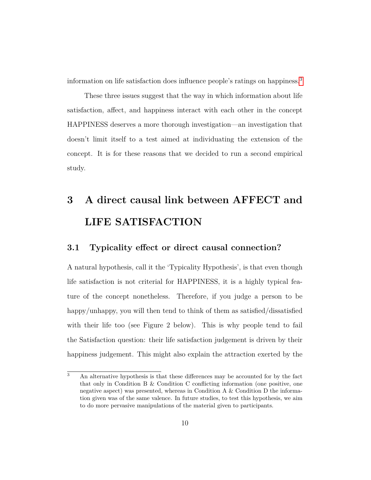information on life satisfaction does influence people's ratings on happiness.[3](#page-0-0)

These three issues suggest that the way in which information about life satisfaction, affect, and happiness interact with each other in the concept HAPPINESS deserves a more thorough investigation—an investigation that doesn't limit itself to a test aimed at individuating the extension of the concept. It is for these reasons that we decided to run a second empirical study.

# **3 A direct causal link between AFFECT and LIFE SATISFACTION**

## **3.1 Typicality effect or direct causal connection?**

A natural hypothesis, call it the 'Typicality Hypothesis', is that even though life satisfaction is not criterial for HAPPINESS, it is a highly typical feature of the concept nonetheless. Therefore, if you judge a person to be happy/unhappy, you will then tend to think of them as satisfied/dissatisfied with their life too (see Figure 2 below). This is why people tend to fail the Satisfaction question: their life satisfaction judgement is driven by their happiness judgement. This might also explain the attraction exerted by the

<sup>3</sup> An alternative hypothesis is that these differences may be accounted for by the fact that only in Condition B & Condition C conflicting information (one positive, one negative aspect) was presented, whereas in Condition A & Condition D the information given was of the same valence. In future studies, to test this hypothesis, we aim to do more pervasive manipulations of the material given to participants.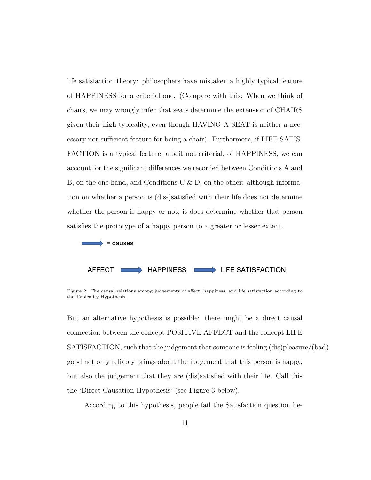life satisfaction theory: philosophers have mistaken a highly typical feature of HAPPINESS for a criterial one. (Compare with this: When we think of chairs, we may wrongly infer that seats determine the extension of CHAIRS given their high typicality, even though HAVING A SEAT is neither a necessary nor sufficient feature for being a chair). Furthermore, if LIFE SATIS-FACTION is a typical feature, albeit not criterial, of HAPPINESS, we can account for the significant differences we recorded between Conditions A and B, on the one hand, and Conditions C  $\&$  D, on the other: although information on whether a person is (dis-)satisfied with their life does not determine whether the person is happy or not, it does determine whether that person satisfies the prototype of a happy person to a greater or lesser extent.



Figure 2: The causal relations among judgements of affect, happiness, and life satisfaction according to the Typicality Hypothesis.

But an alternative hypothesis is possible: there might be a direct causal connection between the concept POSITIVE AFFECT and the concept LIFE SATISFACTION, such that the judgement that someone is feeling (dis)pleasure/(bad) good not only reliably brings about the judgement that this person is happy, but also the judgement that they are (dis)satisfied with their life. Call this the 'Direct Causation Hypothesis' (see Figure 3 below).

According to this hypothesis, people fail the Satisfaction question be-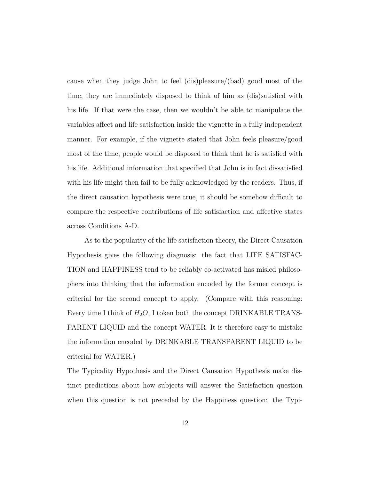cause when they judge John to feel (dis)pleasure/(bad) good most of the time, they are immediately disposed to think of him as (dis)satisfied with his life. If that were the case, then we wouldn't be able to manipulate the variables affect and life satisfaction inside the vignette in a fully independent manner. For example, if the vignette stated that John feels pleasure/good most of the time, people would be disposed to think that he is satisfied with his life. Additional information that specified that John is in fact dissatisfied with his life might then fail to be fully acknowledged by the readers. Thus, if the direct causation hypothesis were true, it should be somehow difficult to compare the respective contributions of life satisfaction and affective states across Conditions A-D.

As to the popularity of the life satisfaction theory, the Direct Causation Hypothesis gives the following diagnosis: the fact that LIFE SATISFAC-TION and HAPPINESS tend to be reliably co-activated has misled philosophers into thinking that the information encoded by the former concept is criterial for the second concept to apply. (Compare with this reasoning: Every time I think of  $H_2O$ , I token both the concept DRINKABLE TRANS-PARENT LIQUID and the concept WATER. It is therefore easy to mistake the information encoded by DRINKABLE TRANSPARENT LIQUID to be criterial for WATER.)

The Typicality Hypothesis and the Direct Causation Hypothesis make distinct predictions about how subjects will answer the Satisfaction question when this question is not preceded by the Happiness question: the Typi-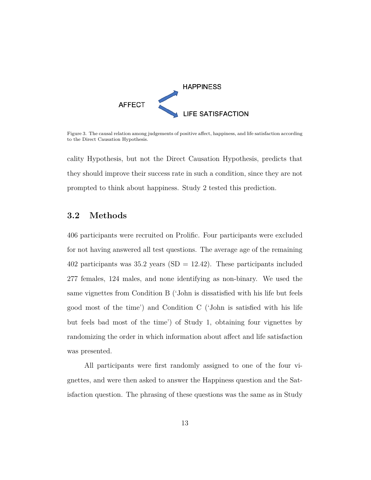

Figure 3. The causal relation among judgements of positive affect, happiness, and life satisfaction according to the Direct Causation Hypothesis.

cality Hypothesis, but not the Direct Causation Hypothesis, predicts that they should improve their success rate in such a condition, since they are not prompted to think about happiness. Study 2 tested this prediction.

## **3.2 Methods**

406 participants were recruited on Prolific. Four participants were excluded for not having answered all test questions. The average age of the remaining 402 participants was  $35.2$  years (SD = 12.42). These participants included 277 females, 124 males, and none identifying as non-binary. We used the same vignettes from Condition B ('John is dissatisfied with his life but feels good most of the time') and Condition C ('John is satisfied with his life but feels bad most of the time') of Study 1, obtaining four vignettes by randomizing the order in which information about affect and life satisfaction was presented.

All participants were first randomly assigned to one of the four vignettes, and were then asked to answer the Happiness question and the Satisfaction question. The phrasing of these questions was the same as in Study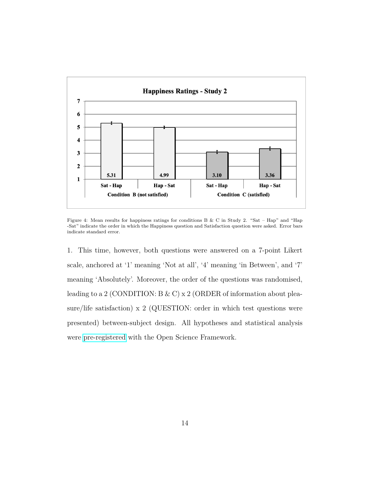

Figure 4: Mean results for happiness ratings for conditions B & C in Study 2. "Sat – Hap" and "Hap -Sat" indicate the order in which the Happiness question and Satisfaction question were asked. Error bars indicate standard error.

1. This time, however, both questions were answered on a 7-point Likert scale, anchored at '1' meaning 'Not at all', '4' meaning 'in Between', and '7' meaning 'Absolutely'. Moreover, the order of the questions was randomised, leading to a 2 (CONDITION: B & C) x 2 (ORDER of information about pleasure/life satisfaction) x 2 (QUESTION: order in which test questions were presented) between-subject design. All hypotheses and statistical analysis were [pre-registered](https://osf.io/texhm/?view_only=48f6e867439b46e19ca7207fb0b025cd) with the Open Science Framework.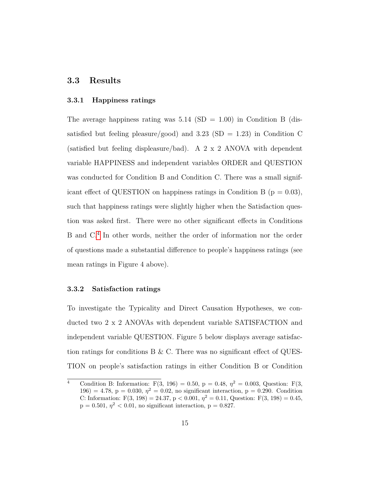## **3.3 Results**

#### **3.3.1 Happiness ratings**

The average happiness rating was  $5.14 \text{ (SD} = 1.00)$  in Condition B (dissatisfied but feeling pleasure/good) and 3.23 (SD = 1.23) in Condition C (satisfied but feeling displeasure/bad). A 2 x 2 ANOVA with dependent variable HAPPINESS and independent variables ORDER and QUESTION was conducted for Condition B and Condition C. There was a small significant effect of QUESTION on happiness ratings in Condition B ( $p = 0.03$ ), such that happiness ratings were slightly higher when the Satisfaction question was asked first. There were no other significant effects in Conditions B and C.[4](#page-0-0) In other words, neither the order of information nor the order of questions made a substantial difference to people's happiness ratings (see mean ratings in Figure 4 above).

#### **3.3.2 Satisfaction ratings**

To investigate the Typicality and Direct Causation Hypotheses, we conducted two 2 x 2 ANOVAs with dependent variable SATISFACTION and independent variable QUESTION. Figure 5 below displays average satisfaction ratings for conditions  $B \& C$ . There was no significant effect of QUES-TION on people's satisfaction ratings in either Condition B or Condition

<sup>&</sup>lt;sup>4</sup> Condition B: Information: F(3, 196) = 0.50, p = 0.48,  $\eta^2 = 0.003$ , Question: F(3, 196) = 4.78, p = 0.030,  $\eta^2 = 0.02$ , no significant interaction, p = 0.290. Condition C: Information:  $F(3, 198) = 24.37$ ,  $p < 0.001$ ,  $\eta^2 = 0.11$ , Question:  $F(3, 198) = 0.45$ ,  $p = 0.501, \eta^2 < 0.01$ , no significant interaction,  $p = 0.827$ .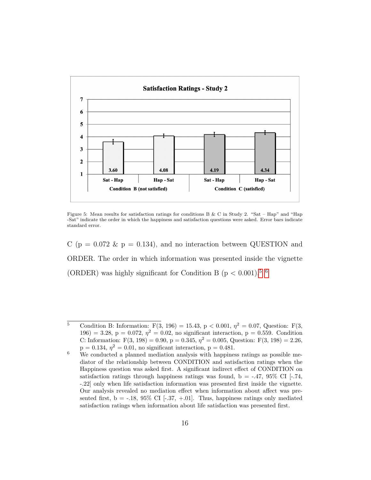

Figure 5: Mean results for satisfaction ratings for conditions B & C in Study 2. "Sat – Hap" and "Hap" -Sat" indicate the order in which the happiness and satisfaction questions were asked. Error bars indicate standard error.

C ( $p = 0.072 \& p = 0.134$ ), and no interaction between QUESTION and ORDER. The order in which information was presented inside the vignette (ORDER) was highly significant for Condition B ( $p < 0.001$ ).<sup>5</sup>

<sup>5</sup> Condition B: Information:  $F(3, 196) = 15.43$ ,  $p < 0.001$ ,  $\eta^2 = 0.07$ , Question:  $F(3, 196) = 15.43$ 196) = 3.28, p = 0.072,  $\eta^2 = 0.02$ , no significant interaction, p = 0.559. Condition C: Information:  $F(3, 198) = 0.90$ ,  $p = 0.345$ ,  $\eta^2 = 0.005$ , Question:  $F(3, 198) = 2.26$ ,  $p = 0.134, \eta^2 = 0.01$ , no significant interaction,  $p = 0.481$ .

<sup>6</sup> We conducted a planned mediation analysis with happiness ratings as possible mediator of the relationship between CONDITION and satisfaction ratings when the Happiness question was asked first. A significant indirect effect of CONDITION on satisfaction ratings through happiness ratings was found,  $b = -.47, 95\%$  CI [-.74, -.22] only when life satisfaction information was presented first inside the vignette. Our analysis revealed no mediation effect when information about affect was presented first,  $b = -.18, 95\%$  CI [ $-.37, +.01$ ]. Thus, happiness ratings only mediated satisfaction ratings when information about life satisfaction was presented first.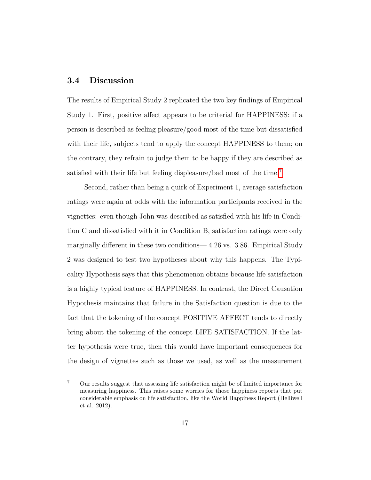## **3.4 Discussion**

The results of Empirical Study 2 replicated the two key findings of Empirical Study 1. First, positive affect appears to be criterial for HAPPINESS: if a person is described as feeling pleasure/good most of the time but dissatisfied with their life, subjects tend to apply the concept HAPPINESS to them; on the contrary, they refrain to judge them to be happy if they are described as satisfied with their life but feeling displeasure/bad most of the time.<sup>[7](#page-0-0)</sup>

Second, rather than being a quirk of Experiment 1, average satisfaction ratings were again at odds with the information participants received in the vignettes: even though John was described as satisfied with his life in Condition C and dissatisfied with it in Condition B, satisfaction ratings were only marginally different in these two conditions— 4.26 vs. 3.86. Empirical Study 2 was designed to test two hypotheses about why this happens. The Typicality Hypothesis says that this phenomenon obtains because life satisfaction is a highly typical feature of HAPPINESS. In contrast, the Direct Causation Hypothesis maintains that failure in the Satisfaction question is due to the fact that the tokening of the concept POSITIVE AFFECT tends to directly bring about the tokening of the concept LIFE SATISFACTION. If the latter hypothesis were true, then this would have important consequences for the design of vignettes such as those we used, as well as the measurement

<sup>7</sup> Our results suggest that assessing life satisfaction might be of limited importance for measuring happiness. This raises some worries for those happiness reports that put considerable emphasis on life satisfaction, like the World Happiness Report (Helliwell et al. 2012).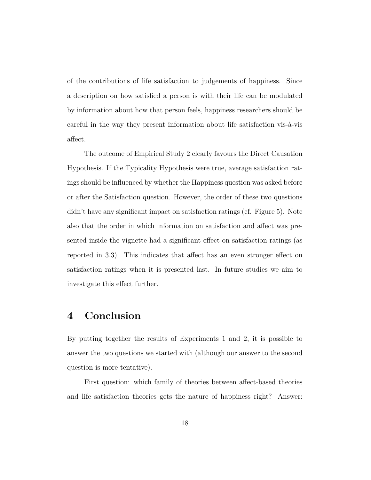of the contributions of life satisfaction to judgements of happiness. Since a description on how satisfied a person is with their life can be modulated by information about how that person feels, happiness researchers should be careful in the way they present information about life satisfaction vis-à-vis affect.

The outcome of Empirical Study 2 clearly favours the Direct Causation Hypothesis. If the Typicality Hypothesis were true, average satisfaction ratings should be influenced by whether the Happiness question was asked before or after the Satisfaction question. However, the order of these two questions didn't have any significant impact on satisfaction ratings (cf. Figure 5). Note also that the order in which information on satisfaction and affect was presented inside the vignette had a significant effect on satisfaction ratings (as reported in 3.3). This indicates that affect has an even stronger effect on satisfaction ratings when it is presented last. In future studies we aim to investigate this effect further.

## **4 Conclusion**

By putting together the results of Experiments 1 and 2, it is possible to answer the two questions we started with (although our answer to the second question is more tentative).

First question: which family of theories between affect-based theories and life satisfaction theories gets the nature of happiness right? Answer: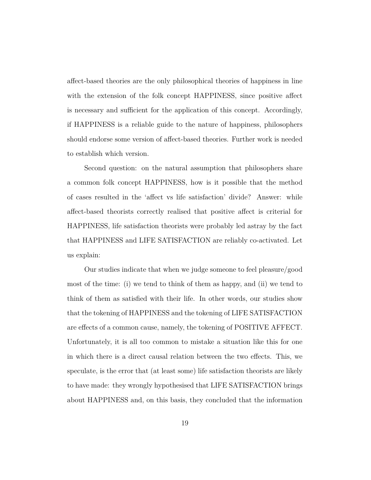affect-based theories are the only philosophical theories of happiness in line with the extension of the folk concept HAPPINESS, since positive affect is necessary and sufficient for the application of this concept. Accordingly, if HAPPINESS is a reliable guide to the nature of happiness, philosophers should endorse some version of affect-based theories. Further work is needed to establish which version.

Second question: on the natural assumption that philosophers share a common folk concept HAPPINESS, how is it possible that the method of cases resulted in the 'affect vs life satisfaction' divide? Answer: while affect-based theorists correctly realised that positive affect is criterial for HAPPINESS, life satisfaction theorists were probably led astray by the fact that HAPPINESS and LIFE SATISFACTION are reliably co-activated. Let us explain:

Our studies indicate that when we judge someone to feel pleasure/good most of the time: (i) we tend to think of them as happy, and (ii) we tend to think of them as satisfied with their life. In other words, our studies show that the tokening of HAPPINESS and the tokening of LIFE SATISFACTION are effects of a common cause, namely, the tokening of POSITIVE AFFECT. Unfortunately, it is all too common to mistake a situation like this for one in which there is a direct causal relation between the two effects. This, we speculate, is the error that (at least some) life satisfaction theorists are likely to have made: they wrongly hypothesised that LIFE SATISFACTION brings about HAPPINESS and, on this basis, they concluded that the information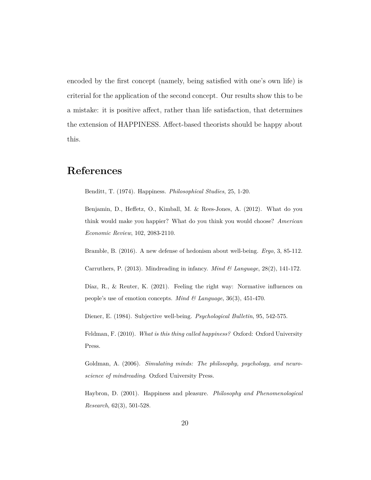encoded by the first concept (namely, being satisfied with one's own life) is criterial for the application of the second concept. Our results show this to be a mistake: it is positive affect, rather than life satisfaction, that determines the extension of HAPPINESS. Affect-based theorists should be happy about this.

# **References**

Benditt, T. (1974). Happiness. *Philosophical Studies*, 25, 1-20.

Benjamin, D., Heffetz, O., Kimball, M. & Rees-Jones, A. (2012). What do you think would make you happier? What do you think you would choose? *American Economic Review*, 102, 2083-2110.

Bramble, B. (2016). A new defense of hedonism about well-being. *Ergo*, 3, 85-112.

Carruthers, P. (2013). Mindreading in infancy. *Mind & Language*, 28(2), 141-172.

Díaz, R., & Reuter, K. (2021). Feeling the right way: Normative influences on people's use of emotion concepts. *Mind & Language*, 36(3), 451-470.

Diener, E. (1984). Subjective well-being. *Psychological Bulletin*, 95, 542-575.

Feldman, F. (2010). *What is this thing called happiness?* Oxford: Oxford University Press.

Goldman, A. (2006). *Simulating minds: The philosophy, psychology, and neuroscience of mindreading*. Oxford University Press.

Haybron, D. (2001). Happiness and pleasure. *Philosophy and Phenomenological Research*, 62(3), 501-528.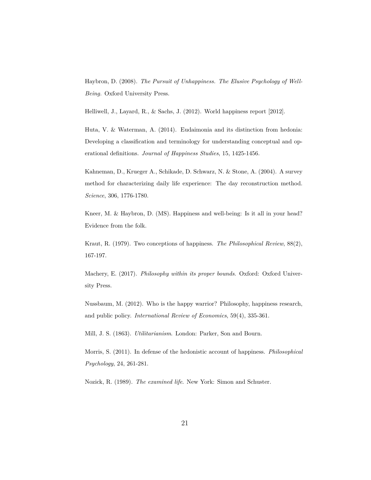Haybron, D. (2008). *The Pursuit of Unhappiness. The Elusive Psychology of Well-Being.* Oxford University Press.

Helliwell, J., Layard, R., & Sachs, J. (2012). World happiness report [2012].

Huta, V. & Waterman, A. (2014). Eudaimonia and its distinction from hedonia: Developing a classification and terminology for understanding conceptual and operational definitions. *Journal of Happiness Studies*, 15, 1425-1456.

Kahneman, D., Krueger A., Schikade, D. Schwarz, N. & Stone, A. (2004). A survey method for characterizing daily life experience: The day reconstruction method. *Science*, 306, 1776-1780.

Kneer, M. & Haybron, D. (MS). Happiness and well-being: Is it all in your head? Evidence from the folk.

Kraut, R. (1979). Two conceptions of happiness. *The Philosophical Review*, 88(2), 167-197.

Machery, E. (2017). *Philosophy within its proper bounds*. Oxford: Oxford University Press.

Nussbaum, M. (2012). Who is the happy warrior? Philosophy, happiness research, and public policy. *International Review of Economics*, 59(4), 335-361.

Mill, J. S. (1863). *Utilitarianism*. London: Parker, Son and Bourn.

Morris, S. (2011). In defense of the hedonistic account of happiness. *Philosophical Psychology*, 24, 261-281.

Nozick, R. (1989). *The examined life*. New York: Simon and Schuster.